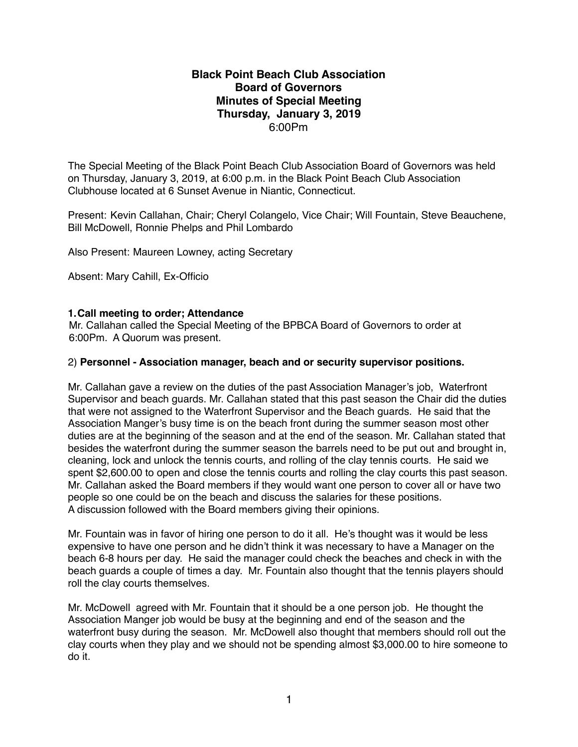## **Black Point Beach Club Association Board of Governors Minutes of Special Meeting Thursday, January 3, 2019** 6:00Pm

The Special Meeting of the Black Point Beach Club Association Board of Governors was held on Thursday, January 3, 2019, at 6:00 p.m. in the Black Point Beach Club Association Clubhouse located at 6 Sunset Avenue in Niantic, Connecticut.

Present: Kevin Callahan, Chair; Cheryl Colangelo, Vice Chair; Will Fountain, Steve Beauchene, Bill McDowell, Ronnie Phelps and Phil Lombardo

Also Present: Maureen Lowney, acting Secretary

Absent: Mary Cahill, Ex-Officio

## **1.Call meeting to order; Attendance**

Mr. Callahan called the Special Meeting of the BPBCA Board of Governors to order at 6:00Pm. A Quorum was present.

## 2) **Personnel - Association manager, beach and or security supervisor positions.**

Mr. Callahan gave a review on the duties of the past Association Manager's job, Waterfront Supervisor and beach guards. Mr. Callahan stated that this past season the Chair did the duties that were not assigned to the Waterfront Supervisor and the Beach guards. He said that the Association Manger's busy time is on the beach front during the summer season most other duties are at the beginning of the season and at the end of the season. Mr. Callahan stated that besides the waterfront during the summer season the barrels need to be put out and brought in, cleaning, lock and unlock the tennis courts, and rolling of the clay tennis courts. He said we spent \$2,600.00 to open and close the tennis courts and rolling the clay courts this past season. Mr. Callahan asked the Board members if they would want one person to cover all or have two people so one could be on the beach and discuss the salaries for these positions. A discussion followed with the Board members giving their opinions.

Mr. Fountain was in favor of hiring one person to do it all. He's thought was it would be less expensive to have one person and he didn't think it was necessary to have a Manager on the beach 6-8 hours per day. He said the manager could check the beaches and check in with the beach guards a couple of times a day. Mr. Fountain also thought that the tennis players should roll the clay courts themselves.

Mr. McDowell agreed with Mr. Fountain that it should be a one person job. He thought the Association Manger job would be busy at the beginning and end of the season and the waterfront busy during the season. Mr. McDowell also thought that members should roll out the clay courts when they play and we should not be spending almost \$3,000.00 to hire someone to do it.